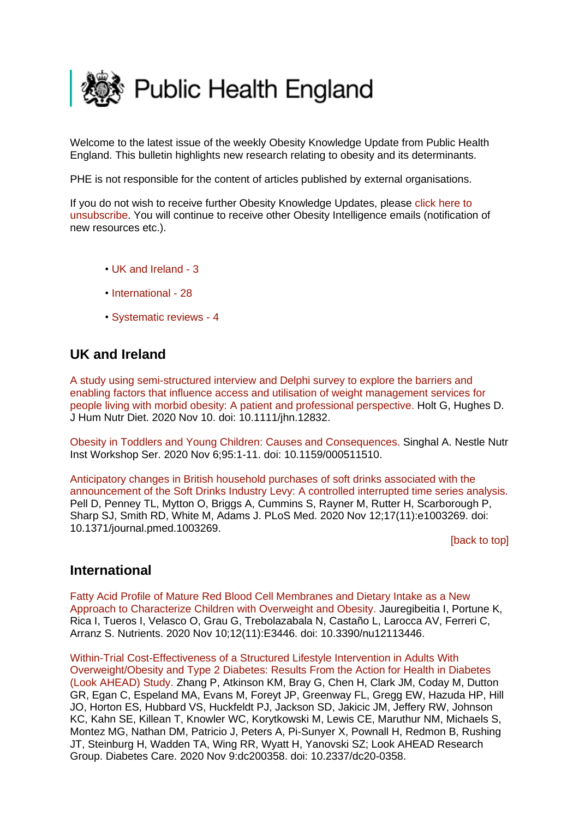<span id="page-0-2"></span>

Welcome to the latest issue of the weekly Obesity Knowledge Update from Public Health England. This bulletin highlights new research relating to obesity and its determinants.

PHE is not responsible for the content of articles published by external organisations.

If you do not wish to receive further Obesity Knowledge Updates, please [click here to](mailto:ObesityIntelligence@phe.gov.uk?subject=Unsubscribe%20from%20Knowledge%20Update%20mailing%20list)  [unsubscribe.](mailto:ObesityIntelligence@phe.gov.uk?subject=Unsubscribe%20from%20Knowledge%20Update%20mailing%20list) You will continue to receive other Obesity Intelligence emails (notification of new resources etc.).

- • [UK and Ireland -](#page-0-0) 3
- [International -](#page-0-1) 28
- [Systematic reviews -](#page-3-0) 4

## <span id="page-0-0"></span>**UK and Ireland**

A study using [semi-structured interview and Delphi survey to explore the barriers and](https://eur01.safelinks.protection.outlook.com/?url=https%3A%2F%2Fpubmed.ncbi.nlm.nih.gov%2F33170550%2F&data=04%7C01%7CMaggie.Graham%40phe.gov.uk%7Cff448d055eb34567c86a08d88a2bdd7a%7Cee4e14994a354b2ead475f3cf9de8666%7C0%7C0%7C637411268283383988%7CUnknown%7CTWFpbGZsb3d8eyJWIjoiMC4wLjAwMDAiLCJQIjoiV2luMzIiLCJBTiI6Ik1haWwiLCJXVCI6Mn0%3D%7C1000&sdata=L0TLEfq%2FuEaanPx8ZdYbslf90XqtnawIAZ1EuQOeXgQ%3D&reserved=0)  [enabling factors that influence access and utilisation of weight management services for](https://eur01.safelinks.protection.outlook.com/?url=https%3A%2F%2Fpubmed.ncbi.nlm.nih.gov%2F33170550%2F&data=04%7C01%7CMaggie.Graham%40phe.gov.uk%7Cff448d055eb34567c86a08d88a2bdd7a%7Cee4e14994a354b2ead475f3cf9de8666%7C0%7C0%7C637411268283383988%7CUnknown%7CTWFpbGZsb3d8eyJWIjoiMC4wLjAwMDAiLCJQIjoiV2luMzIiLCJBTiI6Ik1haWwiLCJXVCI6Mn0%3D%7C1000&sdata=L0TLEfq%2FuEaanPx8ZdYbslf90XqtnawIAZ1EuQOeXgQ%3D&reserved=0)  [people living with morbid obesity: A patient and professional perspective. H](https://eur01.safelinks.protection.outlook.com/?url=https%3A%2F%2Fpubmed.ncbi.nlm.nih.gov%2F33170550%2F&data=04%7C01%7CMaggie.Graham%40phe.gov.uk%7Cff448d055eb34567c86a08d88a2bdd7a%7Cee4e14994a354b2ead475f3cf9de8666%7C0%7C0%7C637411268283383988%7CUnknown%7CTWFpbGZsb3d8eyJWIjoiMC4wLjAwMDAiLCJQIjoiV2luMzIiLCJBTiI6Ik1haWwiLCJXVCI6Mn0%3D%7C1000&sdata=L0TLEfq%2FuEaanPx8ZdYbslf90XqtnawIAZ1EuQOeXgQ%3D&reserved=0)olt G, Hughes D. J Hum Nutr Diet. 2020 Nov 10. doi: 10.1111/jhn.12832.

[Obesity in Toddlers and Young Children: Causes and Consequences. S](https://eur01.safelinks.protection.outlook.com/?url=https%3A%2F%2Fpubmed.ncbi.nlm.nih.gov%2F33161404%2F&data=04%7C01%7CMaggie.Graham%40phe.gov.uk%7Cff448d055eb34567c86a08d88a2bdd7a%7Cee4e14994a354b2ead475f3cf9de8666%7C0%7C0%7C637411268283403975%7CUnknown%7CTWFpbGZsb3d8eyJWIjoiMC4wLjAwMDAiLCJQIjoiV2luMzIiLCJBTiI6Ik1haWwiLCJXVCI6Mn0%3D%7C1000&sdata=xMlsXVga8FmAWdG5JWLGREagvIGvLAwqEWZySYWJujk%3D&reserved=0)inghal A. Nestle Nutr Inst Workshop Ser. 2020 Nov 6;95:1-11. doi: 10.1159/000511510.

[Anticipatory changes in British household purchases of soft drinks associated with the](https://eur01.safelinks.protection.outlook.com/?url=https%3A%2F%2Fpubmed.ncbi.nlm.nih.gov%2F33180869%2F&data=04%7C01%7CMaggie.Graham%40phe.gov.uk%7Cff448d055eb34567c86a08d88a2bdd7a%7Cee4e14994a354b2ead475f3cf9de8666%7C0%7C0%7C637411268283573877%7CUnknown%7CTWFpbGZsb3d8eyJWIjoiMC4wLjAwMDAiLCJQIjoiV2luMzIiLCJBTiI6Ik1haWwiLCJXVCI6Mn0%3D%7C1000&sdata=Iw4DWzd%2FV%2B7kwd36lxVFwAgSmFjf15mvcYh80aDZ%2BAQ%3D&reserved=0)  [announcement of the Soft Drinks Industry Levy: A controlled interrupted time series analysis.](https://eur01.safelinks.protection.outlook.com/?url=https%3A%2F%2Fpubmed.ncbi.nlm.nih.gov%2F33180869%2F&data=04%7C01%7CMaggie.Graham%40phe.gov.uk%7Cff448d055eb34567c86a08d88a2bdd7a%7Cee4e14994a354b2ead475f3cf9de8666%7C0%7C0%7C637411268283573877%7CUnknown%7CTWFpbGZsb3d8eyJWIjoiMC4wLjAwMDAiLCJQIjoiV2luMzIiLCJBTiI6Ik1haWwiLCJXVCI6Mn0%3D%7C1000&sdata=Iw4DWzd%2FV%2B7kwd36lxVFwAgSmFjf15mvcYh80aDZ%2BAQ%3D&reserved=0)  Pell D, Penney TL, Mytton O, Briggs A, Cummins S, Rayner M, Rutter H, Scarborough P, Sharp SJ, Smith RD, White M, Adams J. PLoS Med. 2020 Nov 12;17(11):e1003269. doi: 10.1371/journal.pmed.1003269.

[\[back to top\]](#page-0-2)

## <span id="page-0-1"></span>**International**

[Fatty Acid Profile of Mature Red Blood Cell Membranes and Dietary Intake as a New](https://eur01.safelinks.protection.outlook.com/?url=https%3A%2F%2Fpubmed.ncbi.nlm.nih.gov%2F33182783%2F&data=04%7C01%7CMaggie.Graham%40phe.gov.uk%7Cff448d055eb34567c86a08d88a2bdd7a%7Cee4e14994a354b2ead475f3cf9de8666%7C0%7C0%7C637411268283393980%7CUnknown%7CTWFpbGZsb3d8eyJWIjoiMC4wLjAwMDAiLCJQIjoiV2luMzIiLCJBTiI6Ik1haWwiLCJXVCI6Mn0%3D%7C1000&sdata=bOGGOlxcbyHLa3NLn%2BJoxsfNHwCBf7u%2BA5Uqsn%2B1fM0%3D&reserved=0)  [Approach to Characterize Children with Overweight and Obesity. J](https://eur01.safelinks.protection.outlook.com/?url=https%3A%2F%2Fpubmed.ncbi.nlm.nih.gov%2F33182783%2F&data=04%7C01%7CMaggie.Graham%40phe.gov.uk%7Cff448d055eb34567c86a08d88a2bdd7a%7Cee4e14994a354b2ead475f3cf9de8666%7C0%7C0%7C637411268283393980%7CUnknown%7CTWFpbGZsb3d8eyJWIjoiMC4wLjAwMDAiLCJQIjoiV2luMzIiLCJBTiI6Ik1haWwiLCJXVCI6Mn0%3D%7C1000&sdata=bOGGOlxcbyHLa3NLn%2BJoxsfNHwCBf7u%2BA5Uqsn%2B1fM0%3D&reserved=0)auregibeitia I, Portune K, Rica I, Tueros I, Velasco O, Grau G, Trebolazabala N, Castaño L, Larocca AV, Ferreri C, Arranz S. Nutrients. 2020 Nov 10;12(11):E3446. doi: 10.3390/nu12113446.

[Within-Trial Cost-Effectiveness of a Structured Lifestyle Intervention in Adults With](https://eur01.safelinks.protection.outlook.com/?url=https%3A%2F%2Fpubmed.ncbi.nlm.nih.gov%2F33168654%2F&data=04%7C01%7CMaggie.Graham%40phe.gov.uk%7Cff448d055eb34567c86a08d88a2bdd7a%7Cee4e14994a354b2ead475f3cf9de8666%7C0%7C0%7C637411268283393980%7CUnknown%7CTWFpbGZsb3d8eyJWIjoiMC4wLjAwMDAiLCJQIjoiV2luMzIiLCJBTiI6Ik1haWwiLCJXVCI6Mn0%3D%7C1000&sdata=mkBYdFqk%2ByaWBlbEEfOP3Ba5X%2BUJdvo9vimTG7w8688%3D&reserved=0)  [Overweight/Obesity and Type 2 Diabetes: Results From the Action for Health in Diabetes](https://eur01.safelinks.protection.outlook.com/?url=https%3A%2F%2Fpubmed.ncbi.nlm.nih.gov%2F33168654%2F&data=04%7C01%7CMaggie.Graham%40phe.gov.uk%7Cff448d055eb34567c86a08d88a2bdd7a%7Cee4e14994a354b2ead475f3cf9de8666%7C0%7C0%7C637411268283393980%7CUnknown%7CTWFpbGZsb3d8eyJWIjoiMC4wLjAwMDAiLCJQIjoiV2luMzIiLCJBTiI6Ik1haWwiLCJXVCI6Mn0%3D%7C1000&sdata=mkBYdFqk%2ByaWBlbEEfOP3Ba5X%2BUJdvo9vimTG7w8688%3D&reserved=0)  [\(Look AHEAD\) Study. Z](https://eur01.safelinks.protection.outlook.com/?url=https%3A%2F%2Fpubmed.ncbi.nlm.nih.gov%2F33168654%2F&data=04%7C01%7CMaggie.Graham%40phe.gov.uk%7Cff448d055eb34567c86a08d88a2bdd7a%7Cee4e14994a354b2ead475f3cf9de8666%7C0%7C0%7C637411268283393980%7CUnknown%7CTWFpbGZsb3d8eyJWIjoiMC4wLjAwMDAiLCJQIjoiV2luMzIiLCJBTiI6Ik1haWwiLCJXVCI6Mn0%3D%7C1000&sdata=mkBYdFqk%2ByaWBlbEEfOP3Ba5X%2BUJdvo9vimTG7w8688%3D&reserved=0)hang P, Atkinson KM, Bray G, Chen H, Clark JM, Coday M, Dutton GR, Egan C, Espeland MA, Evans M, Foreyt JP, Greenway FL, Gregg EW, Hazuda HP, Hill JO, Horton ES, Hubbard VS, Huckfeldt PJ, Jackson SD, Jakicic JM, Jeffery RW, Johnson KC, Kahn SE, Killean T, Knowler WC, Korytkowski M, Lewis CE, Maruthur NM, Michaels S, Montez MG, Nathan DM, Patricio J, Peters A, Pi-Sunyer X, Pownall H, Redmon B, Rushing JT, Steinburg H, Wadden TA, Wing RR, Wyatt H, Yanovski SZ; Look AHEAD Research Group. Diabetes Care. 2020 Nov 9:dc200358. doi: 10.2337/dc20-0358.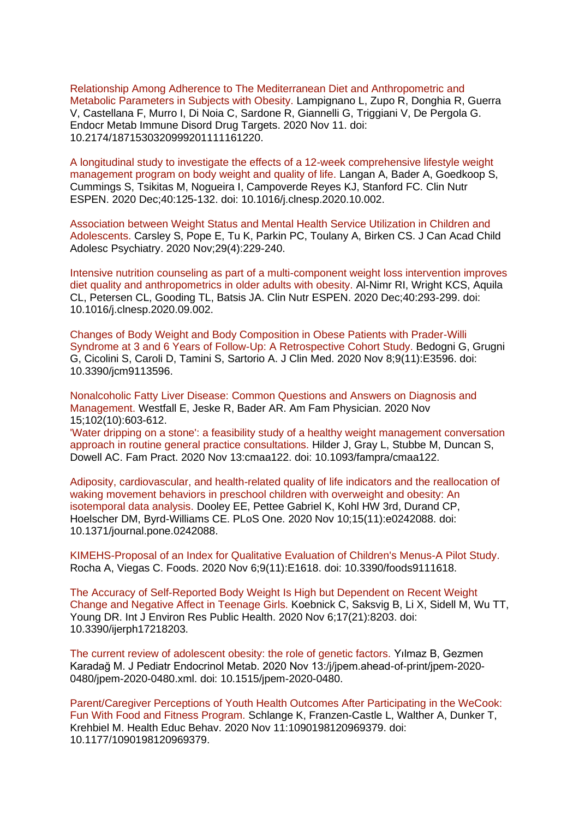[Relationship Among Adherence to The Mediterranean Diet and Anthropometric and](https://eur01.safelinks.protection.outlook.com/?url=https%3A%2F%2Fpubmed.ncbi.nlm.nih.gov%2F33183214%2F&data=04%7C01%7CMaggie.Graham%40phe.gov.uk%7Cff448d055eb34567c86a08d88a2bdd7a%7Cee4e14994a354b2ead475f3cf9de8666%7C0%7C0%7C637411268283403975%7CUnknown%7CTWFpbGZsb3d8eyJWIjoiMC4wLjAwMDAiLCJQIjoiV2luMzIiLCJBTiI6Ik1haWwiLCJXVCI6Mn0%3D%7C1000&sdata=0%2FZPqDEQkc83rFlBuqa603eg8Jdelr3Ep0Xq%2BOPO3TM%3D&reserved=0)  [Metabolic Parameters in Subjects with Obesity. L](https://eur01.safelinks.protection.outlook.com/?url=https%3A%2F%2Fpubmed.ncbi.nlm.nih.gov%2F33183214%2F&data=04%7C01%7CMaggie.Graham%40phe.gov.uk%7Cff448d055eb34567c86a08d88a2bdd7a%7Cee4e14994a354b2ead475f3cf9de8666%7C0%7C0%7C637411268283403975%7CUnknown%7CTWFpbGZsb3d8eyJWIjoiMC4wLjAwMDAiLCJQIjoiV2luMzIiLCJBTiI6Ik1haWwiLCJXVCI6Mn0%3D%7C1000&sdata=0%2FZPqDEQkc83rFlBuqa603eg8Jdelr3Ep0Xq%2BOPO3TM%3D&reserved=0)ampignano L, Zupo R, Donghia R, Guerra V, Castellana F, Murro I, Di Noia C, Sardone R, Giannelli G, Triggiani V, De Pergola G. Endocr Metab Immune Disord Drug Targets. 2020 Nov 11. doi: 10.2174/1871530320999201111161220.

[A longitudinal study to investigate the effects of a 12-week comprehensive lifestyle weight](https://eur01.safelinks.protection.outlook.com/?url=https%3A%2F%2Fpubmed.ncbi.nlm.nih.gov%2F33183525%2F&data=04%7C01%7CMaggie.Graham%40phe.gov.uk%7Cff448d055eb34567c86a08d88a2bdd7a%7Cee4e14994a354b2ead475f3cf9de8666%7C0%7C0%7C637411268283423966%7CUnknown%7CTWFpbGZsb3d8eyJWIjoiMC4wLjAwMDAiLCJQIjoiV2luMzIiLCJBTiI6Ik1haWwiLCJXVCI6Mn0%3D%7C1000&sdata=jNPEt5g%2Fz3%2BqzGGxZlR4pVHWBsXihedj5qoROCzkHh8%3D&reserved=0)  [management program on body weight and quality of life. L](https://eur01.safelinks.protection.outlook.com/?url=https%3A%2F%2Fpubmed.ncbi.nlm.nih.gov%2F33183525%2F&data=04%7C01%7CMaggie.Graham%40phe.gov.uk%7Cff448d055eb34567c86a08d88a2bdd7a%7Cee4e14994a354b2ead475f3cf9de8666%7C0%7C0%7C637411268283423966%7CUnknown%7CTWFpbGZsb3d8eyJWIjoiMC4wLjAwMDAiLCJQIjoiV2luMzIiLCJBTiI6Ik1haWwiLCJXVCI6Mn0%3D%7C1000&sdata=jNPEt5g%2Fz3%2BqzGGxZlR4pVHWBsXihedj5qoROCzkHh8%3D&reserved=0)angan A, Bader A, Goedkoop S, Cummings S, Tsikitas M, Nogueira I, Campoverde Reyes KJ, Stanford FC. Clin Nutr ESPEN. 2020 Dec;40:125-132. doi: 10.1016/j.clnesp.2020.10.002.

[Association between Weight Status and Mental Health Service Utilization in Children and](https://eur01.safelinks.protection.outlook.com/?url=https%3A%2F%2Fpubmed.ncbi.nlm.nih.gov%2F33184567%2F&data=04%7C01%7CMaggie.Graham%40phe.gov.uk%7Cff448d055eb34567c86a08d88a2bdd7a%7Cee4e14994a354b2ead475f3cf9de8666%7C0%7C0%7C637411268283423966%7CUnknown%7CTWFpbGZsb3d8eyJWIjoiMC4wLjAwMDAiLCJQIjoiV2luMzIiLCJBTiI6Ik1haWwiLCJXVCI6Mn0%3D%7C1000&sdata=bS8r2Rhcgv33RPRJI6gBatBQL28KLZW35HUAvTBD%2BV8%3D&reserved=0)  [Adolescents. C](https://eur01.safelinks.protection.outlook.com/?url=https%3A%2F%2Fpubmed.ncbi.nlm.nih.gov%2F33184567%2F&data=04%7C01%7CMaggie.Graham%40phe.gov.uk%7Cff448d055eb34567c86a08d88a2bdd7a%7Cee4e14994a354b2ead475f3cf9de8666%7C0%7C0%7C637411268283423966%7CUnknown%7CTWFpbGZsb3d8eyJWIjoiMC4wLjAwMDAiLCJQIjoiV2luMzIiLCJBTiI6Ik1haWwiLCJXVCI6Mn0%3D%7C1000&sdata=bS8r2Rhcgv33RPRJI6gBatBQL28KLZW35HUAvTBD%2BV8%3D&reserved=0)arsley S, Pope E, Tu K, Parkin PC, Toulany A, Birken CS. J Can Acad Child Adolesc Psychiatry. 2020 Nov;29(4):229-240.

[Intensive nutrition counseling as part of a multi-component weight loss intervention improves](https://eur01.safelinks.protection.outlook.com/?url=https%3A%2F%2Fpubmed.ncbi.nlm.nih.gov%2F33183553%2F&data=04%7C01%7CMaggie.Graham%40phe.gov.uk%7Cff448d055eb34567c86a08d88a2bdd7a%7Cee4e14994a354b2ead475f3cf9de8666%7C0%7C0%7C637411268283433959%7CUnknown%7CTWFpbGZsb3d8eyJWIjoiMC4wLjAwMDAiLCJQIjoiV2luMzIiLCJBTiI6Ik1haWwiLCJXVCI6Mn0%3D%7C1000&sdata=vb4bwkwzdwWMWaag%2F5ZGD6nXTb9UJMsODgZKA43swto%3D&reserved=0)  [diet quality and anthropometrics in older adults with obesity. A](https://eur01.safelinks.protection.outlook.com/?url=https%3A%2F%2Fpubmed.ncbi.nlm.nih.gov%2F33183553%2F&data=04%7C01%7CMaggie.Graham%40phe.gov.uk%7Cff448d055eb34567c86a08d88a2bdd7a%7Cee4e14994a354b2ead475f3cf9de8666%7C0%7C0%7C637411268283433959%7CUnknown%7CTWFpbGZsb3d8eyJWIjoiMC4wLjAwMDAiLCJQIjoiV2luMzIiLCJBTiI6Ik1haWwiLCJXVCI6Mn0%3D%7C1000&sdata=vb4bwkwzdwWMWaag%2F5ZGD6nXTb9UJMsODgZKA43swto%3D&reserved=0)l-Nimr RI, Wright KCS, Aquila CL, Petersen CL, Gooding TL, Batsis JA. Clin Nutr ESPEN. 2020 Dec;40:293-299. doi: 10.1016/j.clnesp.2020.09.002.

[Changes of Body Weight and Body Composition in Obese Patients with Prader-Willi](https://eur01.safelinks.protection.outlook.com/?url=https%3A%2F%2Fpubmed.ncbi.nlm.nih.gov%2F33171647%2F&data=04%7C01%7CMaggie.Graham%40phe.gov.uk%7Cff448d055eb34567c86a08d88a2bdd7a%7Cee4e14994a354b2ead475f3cf9de8666%7C0%7C0%7C637411268283443952%7CUnknown%7CTWFpbGZsb3d8eyJWIjoiMC4wLjAwMDAiLCJQIjoiV2luMzIiLCJBTiI6Ik1haWwiLCJXVCI6Mn0%3D%7C1000&sdata=CvfHo8tMnzyV9gjIYsrVJdHcEz05plM2WYvpgMRUYk0%3D&reserved=0)  [Syndrome at 3 and 6 Years of Follow-Up: A Retrospective Cohort Study. B](https://eur01.safelinks.protection.outlook.com/?url=https%3A%2F%2Fpubmed.ncbi.nlm.nih.gov%2F33171647%2F&data=04%7C01%7CMaggie.Graham%40phe.gov.uk%7Cff448d055eb34567c86a08d88a2bdd7a%7Cee4e14994a354b2ead475f3cf9de8666%7C0%7C0%7C637411268283443952%7CUnknown%7CTWFpbGZsb3d8eyJWIjoiMC4wLjAwMDAiLCJQIjoiV2luMzIiLCJBTiI6Ik1haWwiLCJXVCI6Mn0%3D%7C1000&sdata=CvfHo8tMnzyV9gjIYsrVJdHcEz05plM2WYvpgMRUYk0%3D&reserved=0)edogni G, Grugni G, Cicolini S, Caroli D, Tamini S, Sartorio A. J Clin Med. 2020 Nov 8;9(11):E3596. doi: 10.3390/jcm9113596.

[Nonalcoholic Fatty Liver Disease: Common Questions and Answers on Diagnosis and](https://eur01.safelinks.protection.outlook.com/?url=https%3A%2F%2Fpubmed.ncbi.nlm.nih.gov%2F33179890%2F&data=04%7C01%7CMaggie.Graham%40phe.gov.uk%7Cff448d055eb34567c86a08d88a2bdd7a%7Cee4e14994a354b2ead475f3cf9de8666%7C0%7C0%7C637411268283453944%7CUnknown%7CTWFpbGZsb3d8eyJWIjoiMC4wLjAwMDAiLCJQIjoiV2luMzIiLCJBTiI6Ik1haWwiLCJXVCI6Mn0%3D%7C1000&sdata=ceM3ZzcEDQI1jho%2FpAVCelJ6nCwjt4UY9KfL5CukJvs%3D&reserved=0)  [Management. W](https://eur01.safelinks.protection.outlook.com/?url=https%3A%2F%2Fpubmed.ncbi.nlm.nih.gov%2F33179890%2F&data=04%7C01%7CMaggie.Graham%40phe.gov.uk%7Cff448d055eb34567c86a08d88a2bdd7a%7Cee4e14994a354b2ead475f3cf9de8666%7C0%7C0%7C637411268283453944%7CUnknown%7CTWFpbGZsb3d8eyJWIjoiMC4wLjAwMDAiLCJQIjoiV2luMzIiLCJBTiI6Ik1haWwiLCJXVCI6Mn0%3D%7C1000&sdata=ceM3ZzcEDQI1jho%2FpAVCelJ6nCwjt4UY9KfL5CukJvs%3D&reserved=0)estfall E, Jeske R, Bader AR. Am Fam Physician. 2020 Nov 15;102(10):603-612.

['Water dripping on a stone': a feasibility study of a healthy weight management conversation](https://eur01.safelinks.protection.outlook.com/?url=https%3A%2F%2Fpubmed.ncbi.nlm.nih.gov%2F33184641%2F&data=04%7C01%7CMaggie.Graham%40phe.gov.uk%7Cff448d055eb34567c86a08d88a2bdd7a%7Cee4e14994a354b2ead475f3cf9de8666%7C0%7C0%7C637411268283463942%7CUnknown%7CTWFpbGZsb3d8eyJWIjoiMC4wLjAwMDAiLCJQIjoiV2luMzIiLCJBTiI6Ik1haWwiLCJXVCI6Mn0%3D%7C1000&sdata=xqJlbjh99vhH3qFLBFsT6hzHQMN3W6Jkpx2YeQw%2F0rA%3D&reserved=0)  [approach in routine general practice consultations. H](https://eur01.safelinks.protection.outlook.com/?url=https%3A%2F%2Fpubmed.ncbi.nlm.nih.gov%2F33184641%2F&data=04%7C01%7CMaggie.Graham%40phe.gov.uk%7Cff448d055eb34567c86a08d88a2bdd7a%7Cee4e14994a354b2ead475f3cf9de8666%7C0%7C0%7C637411268283463942%7CUnknown%7CTWFpbGZsb3d8eyJWIjoiMC4wLjAwMDAiLCJQIjoiV2luMzIiLCJBTiI6Ik1haWwiLCJXVCI6Mn0%3D%7C1000&sdata=xqJlbjh99vhH3qFLBFsT6hzHQMN3W6Jkpx2YeQw%2F0rA%3D&reserved=0)ilder J, Gray L, Stubbe M, Duncan S, Dowell AC. Fam Pract. 2020 Nov 13:cmaa122. doi: 10.1093/fampra/cmaa122.

[Adiposity, cardiovascular, and health-related quality of life indicators and the reallocation of](https://eur01.safelinks.protection.outlook.com/?url=https%3A%2F%2Fpubmed.ncbi.nlm.nih.gov%2F33170898%2F&data=04%7C01%7CMaggie.Graham%40phe.gov.uk%7Cff448d055eb34567c86a08d88a2bdd7a%7Cee4e14994a354b2ead475f3cf9de8666%7C0%7C0%7C637411268283473939%7CUnknown%7CTWFpbGZsb3d8eyJWIjoiMC4wLjAwMDAiLCJQIjoiV2luMzIiLCJBTiI6Ik1haWwiLCJXVCI6Mn0%3D%7C1000&sdata=sSGXU6ojwYYMvkcGDSeB1r4wRBThAPlmaWlFltHZqgs%3D&reserved=0)  [waking movement behaviors in preschool children with overweight and obesity: An](https://eur01.safelinks.protection.outlook.com/?url=https%3A%2F%2Fpubmed.ncbi.nlm.nih.gov%2F33170898%2F&data=04%7C01%7CMaggie.Graham%40phe.gov.uk%7Cff448d055eb34567c86a08d88a2bdd7a%7Cee4e14994a354b2ead475f3cf9de8666%7C0%7C0%7C637411268283473939%7CUnknown%7CTWFpbGZsb3d8eyJWIjoiMC4wLjAwMDAiLCJQIjoiV2luMzIiLCJBTiI6Ik1haWwiLCJXVCI6Mn0%3D%7C1000&sdata=sSGXU6ojwYYMvkcGDSeB1r4wRBThAPlmaWlFltHZqgs%3D&reserved=0)  [isotemporal data analysis. D](https://eur01.safelinks.protection.outlook.com/?url=https%3A%2F%2Fpubmed.ncbi.nlm.nih.gov%2F33170898%2F&data=04%7C01%7CMaggie.Graham%40phe.gov.uk%7Cff448d055eb34567c86a08d88a2bdd7a%7Cee4e14994a354b2ead475f3cf9de8666%7C0%7C0%7C637411268283473939%7CUnknown%7CTWFpbGZsb3d8eyJWIjoiMC4wLjAwMDAiLCJQIjoiV2luMzIiLCJBTiI6Ik1haWwiLCJXVCI6Mn0%3D%7C1000&sdata=sSGXU6ojwYYMvkcGDSeB1r4wRBThAPlmaWlFltHZqgs%3D&reserved=0)ooley EE, Pettee Gabriel K, Kohl HW 3rd, Durand CP, Hoelscher DM, Byrd-Williams CE. PLoS One. 2020 Nov 10;15(11):e0242088. doi: 10.1371/journal.pone.0242088.

[KIMEHS-Proposal of an Index for Qualitative Evaluation of Children's Menus-A Pilot Study.](https://eur01.safelinks.protection.outlook.com/?url=https%3A%2F%2Fpubmed.ncbi.nlm.nih.gov%2F33172175%2F&data=04%7C01%7CMaggie.Graham%40phe.gov.uk%7Cff448d055eb34567c86a08d88a2bdd7a%7Cee4e14994a354b2ead475f3cf9de8666%7C0%7C0%7C637411268283483932%7CUnknown%7CTWFpbGZsb3d8eyJWIjoiMC4wLjAwMDAiLCJQIjoiV2luMzIiLCJBTiI6Ik1haWwiLCJXVCI6Mn0%3D%7C1000&sdata=I05DsX8vqh%2FlHaNY1fqKIYFl8JfQTB6OGnFbQt5SwfU%3D&reserved=0)  Rocha A, Viegas C. Foods. 2020 Nov 6;9(11):E1618. doi: 10.3390/foods9111618.

[The Accuracy of Self-Reported Body Weight Is High but Dependent on Recent Weight](https://eur01.safelinks.protection.outlook.com/?url=https%3A%2F%2Fpubmed.ncbi.nlm.nih.gov%2F33172095%2F&data=04%7C01%7CMaggie.Graham%40phe.gov.uk%7Cff448d055eb34567c86a08d88a2bdd7a%7Cee4e14994a354b2ead475f3cf9de8666%7C0%7C0%7C637411268283493927%7CUnknown%7CTWFpbGZsb3d8eyJWIjoiMC4wLjAwMDAiLCJQIjoiV2luMzIiLCJBTiI6Ik1haWwiLCJXVCI6Mn0%3D%7C1000&sdata=yYFF%2FvhdAY8wIN0NGVPZ8mAsx53mSSPkWAWUbjqUwDc%3D&reserved=0)  [Change and Negative Affect in Teenage Girls. K](https://eur01.safelinks.protection.outlook.com/?url=https%3A%2F%2Fpubmed.ncbi.nlm.nih.gov%2F33172095%2F&data=04%7C01%7CMaggie.Graham%40phe.gov.uk%7Cff448d055eb34567c86a08d88a2bdd7a%7Cee4e14994a354b2ead475f3cf9de8666%7C0%7C0%7C637411268283493927%7CUnknown%7CTWFpbGZsb3d8eyJWIjoiMC4wLjAwMDAiLCJQIjoiV2luMzIiLCJBTiI6Ik1haWwiLCJXVCI6Mn0%3D%7C1000&sdata=yYFF%2FvhdAY8wIN0NGVPZ8mAsx53mSSPkWAWUbjqUwDc%3D&reserved=0)oebnick C, Saksvig B, Li X, Sidell M, Wu TT, Young DR. Int J Environ Res Public Health. 2020 Nov 6;17(21):8203. doi: 10.3390/ijerph17218203.

[The current review of adolescent obesity: the role of genetic factors. Y](https://eur01.safelinks.protection.outlook.com/?url=https%3A%2F%2Fpubmed.ncbi.nlm.nih.gov%2F33185580%2F&data=04%7C01%7CMaggie.Graham%40phe.gov.uk%7Cff448d055eb34567c86a08d88a2bdd7a%7Cee4e14994a354b2ead475f3cf9de8666%7C0%7C0%7C637411268283513913%7CUnknown%7CTWFpbGZsb3d8eyJWIjoiMC4wLjAwMDAiLCJQIjoiV2luMzIiLCJBTiI6Ik1haWwiLCJXVCI6Mn0%3D%7C1000&sdata=U8CD0ETNxqw%2FjdgYYMBY7ileG5vmOxNNHr8ut19SSno%3D&reserved=0)ılmaz B, Gezmen Karadağ M. J Pediatr Endocrinol Metab. 2020 Nov 13:/j/jpem.ahead-of-print/jpem-2020- 0480/jpem-2020-0480.xml. doi: 10.1515/jpem-2020-0480.

[Parent/Caregiver Perceptions of Youth Health Outcomes After Participating in the WeCook:](https://eur01.safelinks.protection.outlook.com/?url=https%3A%2F%2Fpubmed.ncbi.nlm.nih.gov%2F33174460%2F&data=04%7C01%7CMaggie.Graham%40phe.gov.uk%7Cff448d055eb34567c86a08d88a2bdd7a%7Cee4e14994a354b2ead475f3cf9de8666%7C0%7C0%7C637411268283513913%7CUnknown%7CTWFpbGZsb3d8eyJWIjoiMC4wLjAwMDAiLCJQIjoiV2luMzIiLCJBTiI6Ik1haWwiLCJXVCI6Mn0%3D%7C1000&sdata=ctfxrEYqtwHVSEEUSYcCPHJkMVxvLNKpOepRu5z4FMk%3D&reserved=0) [Fun With Food and Fitness Program. S](https://eur01.safelinks.protection.outlook.com/?url=https%3A%2F%2Fpubmed.ncbi.nlm.nih.gov%2F33174460%2F&data=04%7C01%7CMaggie.Graham%40phe.gov.uk%7Cff448d055eb34567c86a08d88a2bdd7a%7Cee4e14994a354b2ead475f3cf9de8666%7C0%7C0%7C637411268283513913%7CUnknown%7CTWFpbGZsb3d8eyJWIjoiMC4wLjAwMDAiLCJQIjoiV2luMzIiLCJBTiI6Ik1haWwiLCJXVCI6Mn0%3D%7C1000&sdata=ctfxrEYqtwHVSEEUSYcCPHJkMVxvLNKpOepRu5z4FMk%3D&reserved=0)chlange K, Franzen-Castle L, Walther A, Dunker T, Krehbiel M. Health Educ Behav. 2020 Nov 11:1090198120969379. doi: 10.1177/1090198120969379.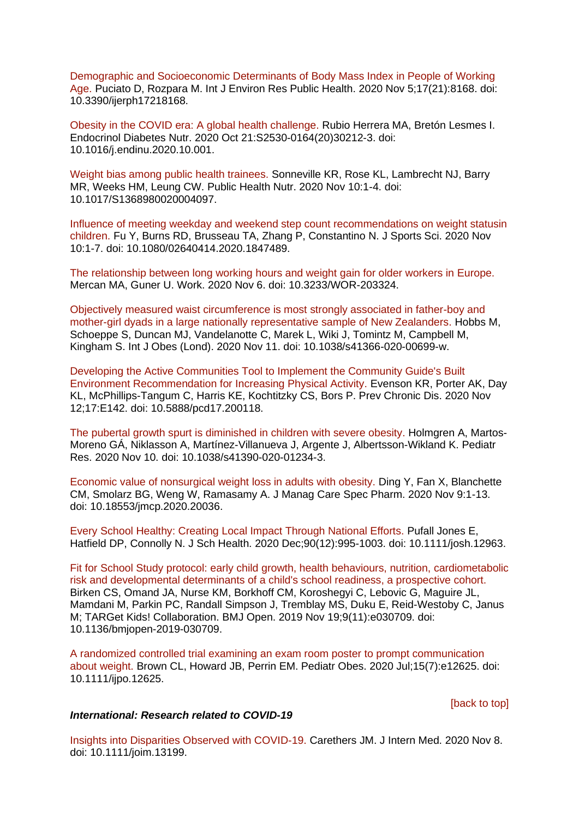[Demographic and Socioeconomic Determinants of Body Mass Index in People of Working](https://eur01.safelinks.protection.outlook.com/?url=https%3A%2F%2Fpubmed.ncbi.nlm.nih.gov%2F33167352%2F&data=04%7C01%7CMaggie.Graham%40phe.gov.uk%7Cff448d055eb34567c86a08d88a2bdd7a%7Cee4e14994a354b2ead475f3cf9de8666%7C0%7C0%7C637411268283523903%7CUnknown%7CTWFpbGZsb3d8eyJWIjoiMC4wLjAwMDAiLCJQIjoiV2luMzIiLCJBTiI6Ik1haWwiLCJXVCI6Mn0%3D%7C1000&sdata=%2FwYzRwKo7NbdD5mmsiU5pQZ2CDTCUoGh3DFMrKnv5hY%3D&reserved=0)  [Age. P](https://eur01.safelinks.protection.outlook.com/?url=https%3A%2F%2Fpubmed.ncbi.nlm.nih.gov%2F33167352%2F&data=04%7C01%7CMaggie.Graham%40phe.gov.uk%7Cff448d055eb34567c86a08d88a2bdd7a%7Cee4e14994a354b2ead475f3cf9de8666%7C0%7C0%7C637411268283523903%7CUnknown%7CTWFpbGZsb3d8eyJWIjoiMC4wLjAwMDAiLCJQIjoiV2luMzIiLCJBTiI6Ik1haWwiLCJXVCI6Mn0%3D%7C1000&sdata=%2FwYzRwKo7NbdD5mmsiU5pQZ2CDTCUoGh3DFMrKnv5hY%3D&reserved=0)uciato D, Rozpara M. Int J Environ Res Public Health. 2020 Nov 5;17(21):8168. doi: 10.3390/ijerph17218168.

[Obesity in the COVID era: A global health challenge. R](https://eur01.safelinks.protection.outlook.com/?url=https%3A%2F%2Fpubmed.ncbi.nlm.nih.gov%2F33162383%2F&data=04%7C01%7CMaggie.Graham%40phe.gov.uk%7Cff448d055eb34567c86a08d88a2bdd7a%7Cee4e14994a354b2ead475f3cf9de8666%7C0%7C0%7C637411268283533903%7CUnknown%7CTWFpbGZsb3d8eyJWIjoiMC4wLjAwMDAiLCJQIjoiV2luMzIiLCJBTiI6Ik1haWwiLCJXVCI6Mn0%3D%7C1000&sdata=ftCv7iFJAP5T6Fu%2BQZ6HXdmOgk%2FQZObEq%2BZXctmJ6eQ%3D&reserved=0)ubio Herrera MA, Bretón Lesmes I. Endocrinol Diabetes Nutr. 2020 Oct 21:S2530-0164(20)30212-3. doi: 10.1016/j.endinu.2020.10.001.

[Weight bias among public health trainees. S](https://eur01.safelinks.protection.outlook.com/?url=https%3A%2F%2Fpubmed.ncbi.nlm.nih.gov%2F33168123%2F&data=04%7C01%7CMaggie.Graham%40phe.gov.uk%7Cff448d055eb34567c86a08d88a2bdd7a%7Cee4e14994a354b2ead475f3cf9de8666%7C0%7C0%7C637411268283533903%7CUnknown%7CTWFpbGZsb3d8eyJWIjoiMC4wLjAwMDAiLCJQIjoiV2luMzIiLCJBTiI6Ik1haWwiLCJXVCI6Mn0%3D%7C1000&sdata=fyQXvFm0YXnwALyfLNflIXVi8Urg42X%2BwKJI92aV31A%3D&reserved=0)onneville KR, Rose KL, Lambrecht NJ, Barry MR, Weeks HM, Leung CW. Public Health Nutr. 2020 Nov 10:1-4. doi: 10.1017/S1368980020004097.

[Influence of meeting weekday and weekend step count recommendations on weight statusin](https://eur01.safelinks.protection.outlook.com/?url=https%3A%2F%2Fpubmed.ncbi.nlm.nih.gov%2F33172341%2F&data=04%7C01%7CMaggie.Graham%40phe.gov.uk%7Cff448d055eb34567c86a08d88a2bdd7a%7Cee4e14994a354b2ead475f3cf9de8666%7C0%7C0%7C637411268283543902%7CUnknown%7CTWFpbGZsb3d8eyJWIjoiMC4wLjAwMDAiLCJQIjoiV2luMzIiLCJBTiI6Ik1haWwiLCJXVCI6Mn0%3D%7C1000&sdata=OjnZE8IUPIbVgKJl50lzS%2BX5dpmFd8jstvIve7vzlGU%3D&reserved=0)  [children. F](https://eur01.safelinks.protection.outlook.com/?url=https%3A%2F%2Fpubmed.ncbi.nlm.nih.gov%2F33172341%2F&data=04%7C01%7CMaggie.Graham%40phe.gov.uk%7Cff448d055eb34567c86a08d88a2bdd7a%7Cee4e14994a354b2ead475f3cf9de8666%7C0%7C0%7C637411268283543902%7CUnknown%7CTWFpbGZsb3d8eyJWIjoiMC4wLjAwMDAiLCJQIjoiV2luMzIiLCJBTiI6Ik1haWwiLCJXVCI6Mn0%3D%7C1000&sdata=OjnZE8IUPIbVgKJl50lzS%2BX5dpmFd8jstvIve7vzlGU%3D&reserved=0)u Y, Burns RD, Brusseau TA, Zhang P, Constantino N. J Sports Sci. 2020 Nov 10:1-7. doi: 10.1080/02640414.2020.1847489.

[The relationship between long working hours and weight gain for older workers in](https://eur01.safelinks.protection.outlook.com/?url=https%3A%2F%2Fpubmed.ncbi.nlm.nih.gov%2F33164980%2F&data=04%7C01%7CMaggie.Graham%40phe.gov.uk%7Cff448d055eb34567c86a08d88a2bdd7a%7Cee4e14994a354b2ead475f3cf9de8666%7C0%7C0%7C637411268283543902%7CUnknown%7CTWFpbGZsb3d8eyJWIjoiMC4wLjAwMDAiLCJQIjoiV2luMzIiLCJBTiI6Ik1haWwiLCJXVCI6Mn0%3D%7C1000&sdata=5tM0R7QT8zRYQfwlVMgb0NcHWuHSJIuR6Szg1twaaqE%3D&reserved=0) Europe. Mercan MA, Guner U. Work. 2020 Nov 6. doi: 10.3233/WOR-203324.

[Objectively measured waist circumference is most strongly associated in father-boy and](https://eur01.safelinks.protection.outlook.com/?url=https%3A%2F%2Fpubmed.ncbi.nlm.nih.gov%2F33177613%2F&data=04%7C01%7CMaggie.Graham%40phe.gov.uk%7Cff448d055eb34567c86a08d88a2bdd7a%7Cee4e14994a354b2ead475f3cf9de8666%7C0%7C0%7C637411268283553892%7CUnknown%7CTWFpbGZsb3d8eyJWIjoiMC4wLjAwMDAiLCJQIjoiV2luMzIiLCJBTiI6Ik1haWwiLCJXVCI6Mn0%3D%7C1000&sdata=TUhpA63MujnF1IiPs3l5U9AqRhxkqA2F7jyc9kPqfmQ%3D&reserved=0)  [mother-girl dyads in a large nationally representative sample of New Zealanders. H](https://eur01.safelinks.protection.outlook.com/?url=https%3A%2F%2Fpubmed.ncbi.nlm.nih.gov%2F33177613%2F&data=04%7C01%7CMaggie.Graham%40phe.gov.uk%7Cff448d055eb34567c86a08d88a2bdd7a%7Cee4e14994a354b2ead475f3cf9de8666%7C0%7C0%7C637411268283553892%7CUnknown%7CTWFpbGZsb3d8eyJWIjoiMC4wLjAwMDAiLCJQIjoiV2luMzIiLCJBTiI6Ik1haWwiLCJXVCI6Mn0%3D%7C1000&sdata=TUhpA63MujnF1IiPs3l5U9AqRhxkqA2F7jyc9kPqfmQ%3D&reserved=0)obbs M, Schoeppe S, Duncan MJ, Vandelanotte C, Marek L, Wiki J, Tomintz M, Campbell M, Kingham S. Int J Obes (Lond). 2020 Nov 11. doi: 10.1038/s41366-020-00699-w.

[Developing the Active Communities Tool to Implement the Community Guide's Built](https://eur01.safelinks.protection.outlook.com/?url=https%3A%2F%2Fpubmed.ncbi.nlm.nih.gov%2F33180689%2F&data=04%7C01%7CMaggie.Graham%40phe.gov.uk%7Cff448d055eb34567c86a08d88a2bdd7a%7Cee4e14994a354b2ead475f3cf9de8666%7C0%7C0%7C637411268283553892%7CUnknown%7CTWFpbGZsb3d8eyJWIjoiMC4wLjAwMDAiLCJQIjoiV2luMzIiLCJBTiI6Ik1haWwiLCJXVCI6Mn0%3D%7C1000&sdata=YnDipDeM7NikkLqYdQ3bI9Z5p9l7UfJQ4Kcjs9TzwX8%3D&reserved=0)  Environment [Recommendation for Increasing Physical Activity. E](https://eur01.safelinks.protection.outlook.com/?url=https%3A%2F%2Fpubmed.ncbi.nlm.nih.gov%2F33180689%2F&data=04%7C01%7CMaggie.Graham%40phe.gov.uk%7Cff448d055eb34567c86a08d88a2bdd7a%7Cee4e14994a354b2ead475f3cf9de8666%7C0%7C0%7C637411268283553892%7CUnknown%7CTWFpbGZsb3d8eyJWIjoiMC4wLjAwMDAiLCJQIjoiV2luMzIiLCJBTiI6Ik1haWwiLCJXVCI6Mn0%3D%7C1000&sdata=YnDipDeM7NikkLqYdQ3bI9Z5p9l7UfJQ4Kcjs9TzwX8%3D&reserved=0)venson KR, Porter AK, Day KL, McPhillips-Tangum C, Harris KE, Kochtitzky CS, Bors P. Prev Chronic Dis. 2020 Nov 12;17:E142. doi: 10.5888/pcd17.200118.

[The pubertal growth spurt is diminished in children with severe obesity. H](https://eur01.safelinks.protection.outlook.com/?url=https%3A%2F%2Fpubmed.ncbi.nlm.nih.gov%2F33173182%2F&data=04%7C01%7CMaggie.Graham%40phe.gov.uk%7Cff448d055eb34567c86a08d88a2bdd7a%7Cee4e14994a354b2ead475f3cf9de8666%7C0%7C0%7C637411268283563884%7CUnknown%7CTWFpbGZsb3d8eyJWIjoiMC4wLjAwMDAiLCJQIjoiV2luMzIiLCJBTiI6Ik1haWwiLCJXVCI6Mn0%3D%7C1000&sdata=oLJZ0zHRDf0v6WD2enVQhMUvvSGMU%2BrqsEXcXDqXTNw%3D&reserved=0)olmgren A, Martos-Moreno GÁ, Niklasson A, Martínez-Villanueva J, Argente J, Albertsson-Wikland K. Pediatr Res. 2020 Nov 10. doi: 10.1038/s41390-020-01234-3.

[Economic value of nonsurgical weight loss in adults with obesity. D](https://eur01.safelinks.protection.outlook.com/?url=https%3A%2F%2Fpubmed.ncbi.nlm.nih.gov%2F33164723%2F&data=04%7C01%7CMaggie.Graham%40phe.gov.uk%7Cff448d055eb34567c86a08d88a2bdd7a%7Cee4e14994a354b2ead475f3cf9de8666%7C0%7C0%7C637411268283583871%7CUnknown%7CTWFpbGZsb3d8eyJWIjoiMC4wLjAwMDAiLCJQIjoiV2luMzIiLCJBTiI6Ik1haWwiLCJXVCI6Mn0%3D%7C1000&sdata=cyp%2FN9Mq5HQuGVz%2Bs%2FuYW0hDx6NfiY538YjvLF%2FsmbM%3D&reserved=0)ing Y, Fan X, Blanchette CM, Smolarz BG, Weng W, Ramasamy A. J Manag Care Spec Pharm. 2020 Nov 9:1-13. doi: 10.18553/jmcp.2020.20036.

[Every School Healthy: Creating Local Impact Through National Efforts. P](https://eur01.safelinks.protection.outlook.com/?url=https%3A%2F%2Fpubmed.ncbi.nlm.nih.gov%2F33184888%2F&data=04%7C01%7CMaggie.Graham%40phe.gov.uk%7Cff448d055eb34567c86a08d88a2bdd7a%7Cee4e14994a354b2ead475f3cf9de8666%7C0%7C0%7C637411268283583871%7CUnknown%7CTWFpbGZsb3d8eyJWIjoiMC4wLjAwMDAiLCJQIjoiV2luMzIiLCJBTiI6Ik1haWwiLCJXVCI6Mn0%3D%7C1000&sdata=RdfTvMGr0qCelikuxVyQ3T7ryqPglnHR8S5ntfMqJxY%3D&reserved=0)ufall Jones E, Hatfield DP, Connolly N. J Sch Health. 2020 Dec;90(12):995-1003. doi: 10.1111/josh.12963.

[Fit for School Study protocol: early child growth, health behaviours, nutrition, cardiometabolic](https://eur01.safelinks.protection.outlook.com/?url=https%3A%2F%2Fpubmed.ncbi.nlm.nih.gov%2F31748293%2F&data=04%7C01%7CMaggie.Graham%40phe.gov.uk%7Cff448d055eb34567c86a08d88a2bdd7a%7Cee4e14994a354b2ead475f3cf9de8666%7C0%7C0%7C637411268283603856%7CUnknown%7CTWFpbGZsb3d8eyJWIjoiMC4wLjAwMDAiLCJQIjoiV2luMzIiLCJBTiI6Ik1haWwiLCJXVCI6Mn0%3D%7C1000&sdata=f04clzAJXBrLDCQu5xkMrQDZnGLB7llrgIDKr%2BLIoGc%3D&reserved=0)  [risk and developmental determinants of a child's school readiness, a prospective cohort.](https://eur01.safelinks.protection.outlook.com/?url=https%3A%2F%2Fpubmed.ncbi.nlm.nih.gov%2F31748293%2F&data=04%7C01%7CMaggie.Graham%40phe.gov.uk%7Cff448d055eb34567c86a08d88a2bdd7a%7Cee4e14994a354b2ead475f3cf9de8666%7C0%7C0%7C637411268283603856%7CUnknown%7CTWFpbGZsb3d8eyJWIjoiMC4wLjAwMDAiLCJQIjoiV2luMzIiLCJBTiI6Ik1haWwiLCJXVCI6Mn0%3D%7C1000&sdata=f04clzAJXBrLDCQu5xkMrQDZnGLB7llrgIDKr%2BLIoGc%3D&reserved=0)  Birken CS, Omand JA, Nurse KM, Borkhoff CM, Koroshegyi C, Lebovic G, Maguire JL, Mamdani M, Parkin PC, Randall Simpson J, Tremblay MS, Duku E, Reid-Westoby C, Janus M; TARGet Kids! Collaboration. BMJ Open. 2019 Nov 19;9(11):e030709. doi: 10.1136/bmjopen-2019-030709.

[A randomized controlled trial examining an exam room poster to prompt communication](https://eur01.safelinks.protection.outlook.com/?url=https%3A%2F%2Fpubmed.ncbi.nlm.nih.gov%2F32072772%2F&data=04%7C01%7CMaggie.Graham%40phe.gov.uk%7Cff448d055eb34567c86a08d88a2bdd7a%7Cee4e14994a354b2ead475f3cf9de8666%7C0%7C0%7C637411268283613850%7CUnknown%7CTWFpbGZsb3d8eyJWIjoiMC4wLjAwMDAiLCJQIjoiV2luMzIiLCJBTiI6Ik1haWwiLCJXVCI6Mn0%3D%7C1000&sdata=RfdWTa0qQyWXnhv8w4Z1Ur8x0NTYVmPe2yHCp%2B8g6CQ%3D&reserved=0)  [about weight. B](https://eur01.safelinks.protection.outlook.com/?url=https%3A%2F%2Fpubmed.ncbi.nlm.nih.gov%2F32072772%2F&data=04%7C01%7CMaggie.Graham%40phe.gov.uk%7Cff448d055eb34567c86a08d88a2bdd7a%7Cee4e14994a354b2ead475f3cf9de8666%7C0%7C0%7C637411268283613850%7CUnknown%7CTWFpbGZsb3d8eyJWIjoiMC4wLjAwMDAiLCJQIjoiV2luMzIiLCJBTiI6Ik1haWwiLCJXVCI6Mn0%3D%7C1000&sdata=RfdWTa0qQyWXnhv8w4Z1Ur8x0NTYVmPe2yHCp%2B8g6CQ%3D&reserved=0)rown CL, Howard JB, Perrin EM. Pediatr Obes. 2020 Jul;15(7):e12625. doi: 10.1111/ijpo.12625.

[\[back to top\]](#page-0-2)

## *International: Research related to COVID-19*

[Insights into Disparities Observed with COVID-19. C](https://eur01.safelinks.protection.outlook.com/?url=https%3A%2F%2Fpubmed.ncbi.nlm.nih.gov%2F33164230%2F&data=04%7C01%7CMaggie.Graham%40phe.gov.uk%7Cff448d055eb34567c86a08d88a2bdd7a%7Cee4e14994a354b2ead475f3cf9de8666%7C0%7C0%7C637411268283413969%7CUnknown%7CTWFpbGZsb3d8eyJWIjoiMC4wLjAwMDAiLCJQIjoiV2luMzIiLCJBTiI6Ik1haWwiLCJXVCI6Mn0%3D%7C1000&sdata=5XovLJhPlWZUMt74mlQr%2FG2S4e6swjjI6hlkJLIYf3g%3D&reserved=0)arethers JM. J Intern Med. 2020 Nov 8. doi: 10.1111/joim.13199.